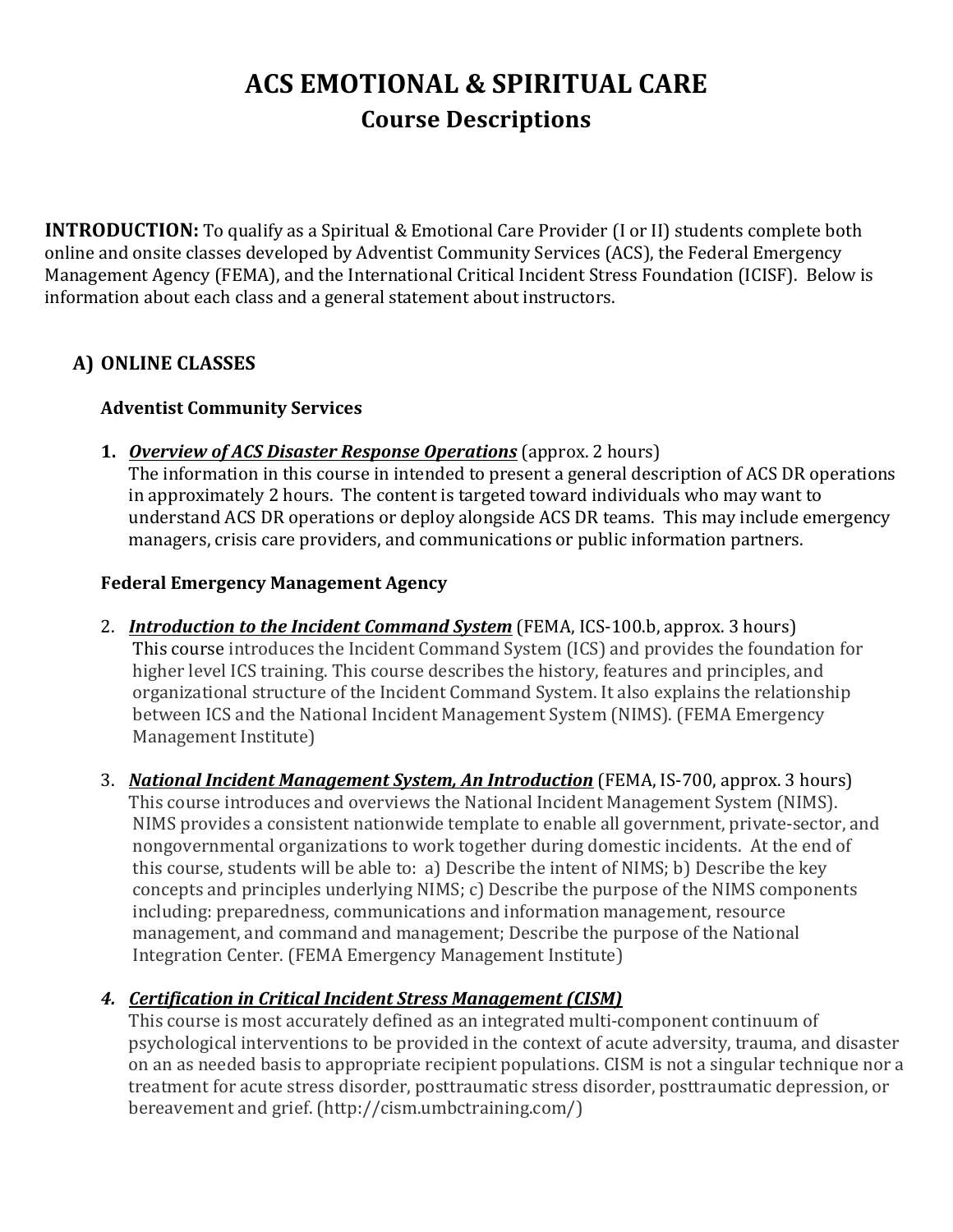# **ACS EMOTIONAL & SPIRITUAL CARE Course Descriptions**

**INTRODUCTION:** To qualify as a Spiritual & Emotional Care Provider (I or II) students complete both online and onsite classes developed by Adventist Community Services (ACS), the Federal Emergency Management Agency (FEMA), and the International Critical Incident Stress Foundation (ICISF). Below is information about each class and a general statement about instructors.

# **A) ONLINE CLASSES**

## **Adventist Community Services**

**1.** *Overview of ACS Disaster Response Operations* (approx. 2 hours)

The information in this course in intended to present a general description of ACS DR operations in approximately 2 hours. The content is targeted toward individuals who may want to understand ACS DR operations or deploy alongside ACS DR teams. This may include emergency managers, crisis care providers, and communications or public information partners.

## **Federal Emergency Management Agency**

- 2. *Introduction to the Incident Command System* (FEMA, ICS-100.b, approx. 3 hours) This course introduces the Incident Command System (ICS) and provides the foundation for higher level ICS training. This course describes the history, features and principles, and organizational structure of the Incident Command System. It also explains the relationship between ICS and the National Incident Management System (NIMS). (FEMA Emergency Management Institute)
- 3. *National Incident Management System, An Introduction* (FEMA, IS-700, approx. 3 hours) This course introduces and overviews the National Incident Management System (NIMS). NIMS provides a consistent nationwide template to enable all government, private-sector, and nongovernmental organizations to work together during domestic incidents. At the end of this course, students will be able to: a) Describe the intent of NIMS; b) Describe the key concepts and principles underlying NIMS; c) Describe the purpose of the NIMS components including: preparedness, communications and information management, resource management, and command and management; Describe the purpose of the National Integration Center. (FEMA Emergency Management Institute)

# **4. Certification in Critical Incident Stress Management (CISM)**

This course is most accurately defined as an integrated multi-component continuum of psychological interventions to be provided in the context of acute adversity, trauma, and disaster on an as needed basis to appropriate recipient populations. CISM is not a singular technique nor a treatment for acute stress disorder, posttraumatic stress disorder, posttraumatic depression, or bereavement and grief. (http://cism.umbctraining.com/)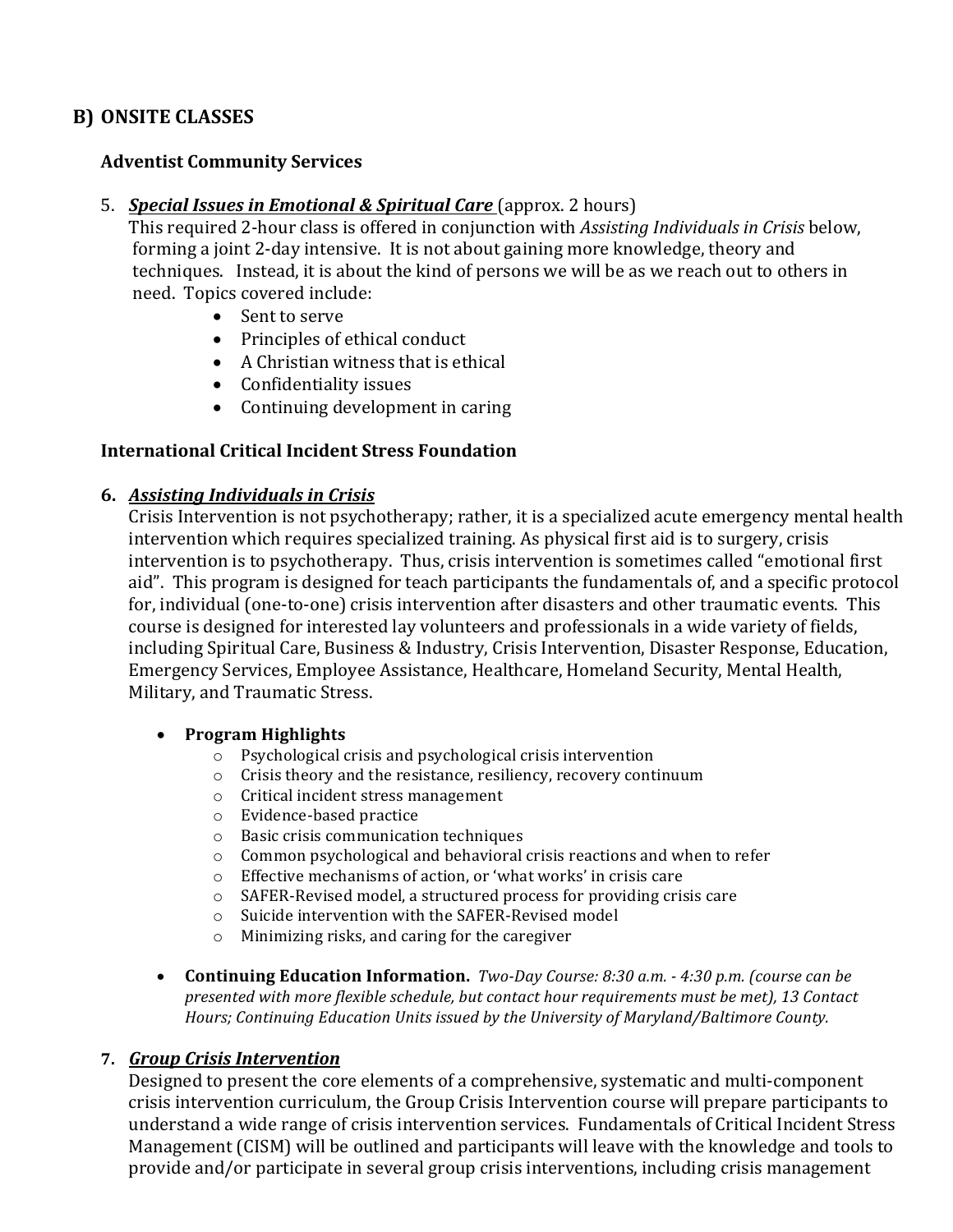# **B) ONSITE CLASSES**

## **Adventist Community Services**

5. *Special Issues in Emotional & Spiritual Care* (approx. 2 hours)

This required 2-hour class is offered in conjunction with *Assisting Individuals in Crisis* below, forming a joint 2-day intensive. It is not about gaining more knowledge, theory and techniques. Instead, it is about the kind of persons we will be as we reach out to others in need. Topics covered include:

- Sent to serve
- Principles of ethical conduct
- $\bullet$  A Christian witness that is ethical
- Confidentiality issues
- Continuing development in caring

## **International Critical Incident Stress Foundation**

#### **6.** *Assisting Individuals in Crisis*

Crisis Intervention is not psychotherapy; rather, it is a specialized acute emergency mental health intervention which requires specialized training. As physical first aid is to surgery, crisis intervention is to psychotherapy. Thus, crisis intervention is sometimes called "emotional first aid". This program is designed for teach participants the fundamentals of, and a specific protocol for, individual (one-to-one) crisis intervention after disasters and other traumatic events. This course is designed for interested lay volunteers and professionals in a wide variety of fields, including Spiritual Care, Business & Industry, Crisis Intervention, Disaster Response, Education, Emergency Services, Employee Assistance, Healthcare, Homeland Security, Mental Health, Military, and Traumatic Stress.

#### • **Program Highlights**

- $\circ$  Psychological crisis and psychological crisis intervention
- $\circ$  Crisis theory and the resistance, resiliency, recovery continuum
- o Critical incident stress management
- o Evidence-based practice
- $\circ$  Basic crisis communication techniques
- $\circ$  Common psychological and behavioral crisis reactions and when to refer
- $\circ$  Effective mechanisms of action, or 'what works' in crisis care
- $\circ$  SAFER-Revised model, a structured process for providing crisis care
- $\circ$  Suicide intervention with the SAFER-Revised model
- $\circ$  Minimizing risks, and caring for the caregiver
- **Continuing Education Information.** *Two-Day Course: 8:30 a.m. 4:30 p.m. (course can be* presented with more flexible schedule, but contact hour requirements must be met), 13 Contact Hours; Continuing Education Units issued by the University of Maryland/Baltimore County.

#### **7.** *Group Crisis Intervention*

Designed to present the core elements of a comprehensive, systematic and multi-component crisis intervention curriculum, the Group Crisis Intervention course will prepare participants to understand a wide range of crisis intervention services. Fundamentals of Critical Incident Stress Management (CISM) will be outlined and participants will leave with the knowledge and tools to provide and/or participate in several group crisis interventions, including crisis management